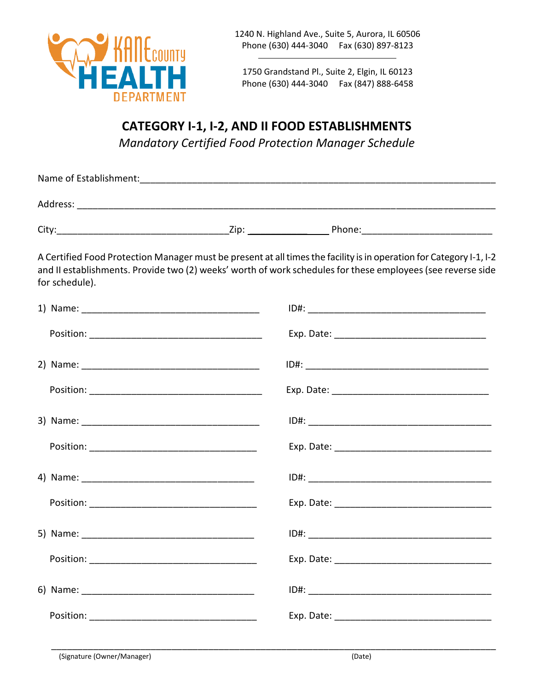

1750 Grandstand Pl., Suite 2, Elgin, IL 60123 Phone (630) 444-3040 Fax (847) 888-6458

## **CATEGORY I-1, I-2, AND II FOOD ESTABLISHMENTS**  *Mandatory Certified Food Protection Manager Schedule*

| Name of Establishment: |      |        |
|------------------------|------|--------|
| Address:               |      |        |
| City:                  | Zip: | Phone: |

A Certified Food Protection Manager must be present at all times the facility is in operation for Category I-1, I-2 and II establishments. Provide two (2) weeks' worth of work schedules for these employees (see reverse side for schedule).